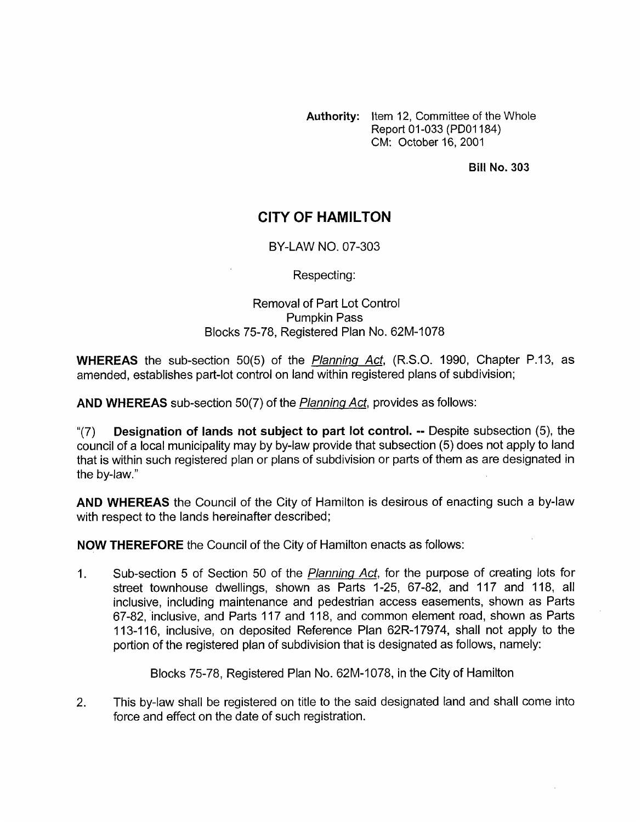**Authority:** Item 12, Committee of the Whole Report 01-033 (PDOI 184) CM: October 16,2001

**Bill No. 303** 

## **CITY OF HAMILTON**

## BY-LAW NO. 07-303

Respecting:

## Removal of Part Lot Control Pumpkin Pass Blocks 75-78, Registered Plan No. 62M-1078

**WHEREAS** the sub-section 50(5) of the *Planning Act,* (R.S.O. 1990, Chapter P.13, as amended, establishes part-lot control on land within registered plans of subdivision;

**AND WHEREAS** sub-section 50(7) of the *Planninq Act,* provides as follows:

"(7) **Designation of lands not subject to part lot control.** -- Despite subsection *(5),* the council of a local municipality may by by-law provide that subsection (5) does not apply to land that is within such registered plan or plans of subdivision or parts of them as are designated in the by-law."

**AND WHEREAS** the Council of the City of Hamilton is desirous of enacting such a by-law with respect to the lands hereinafter described;

**NOW THEREFORE** the Council of the City of Hamilton enacts as follows:

1. Sub-section 5 of Section 50 of the *Planning Act,* for the purpose of creating lots for street townhouse dwellings, shown as Parts 1-25, 67-82, and 117 and 118, all inclusive, including maintenance and pedestrian access easements, shown as Parts 67-82, inclusive, and Parts 117 and 118, and common element road, shown as Parts 113-1 16, inclusive, on deposited Reference Plan 62R-17974, shall not apply to the portion of the registered plan of subdivision that is designated as follows, namely:

Blocks 75-78, Registered Plan No. 62M-1078, in the City of Hamilton

2. This by-law shall be registered on title to the said designated land and shall come into force and effect on the date of such registration.